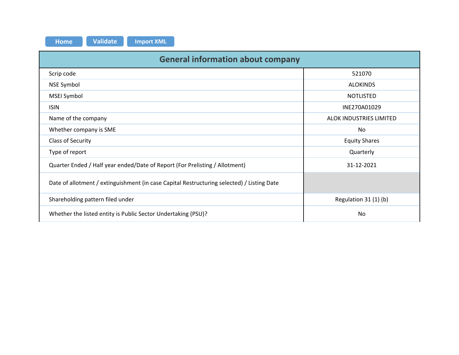| Validate<br><b>Import XML</b><br><b>Home</b>                                               |                         |
|--------------------------------------------------------------------------------------------|-------------------------|
| <b>General information about company</b>                                                   |                         |
| Scrip code                                                                                 | 521070                  |
| NSE Symbol                                                                                 | <b>ALOKINDS</b>         |
| <b>MSEI Symbol</b>                                                                         | <b>NOTLISTED</b>        |
| <b>ISIN</b>                                                                                | INE270A01029            |
| Name of the company                                                                        | ALOK INDUSTRIES LIMITED |
| Whether company is SME                                                                     | No                      |
| Class of Security                                                                          | <b>Equity Shares</b>    |
| Type of report                                                                             | Quarterly               |
| Quarter Ended / Half year ended/Date of Report (For Prelisting / Allotment)                | 31-12-2021              |
| Date of allotment / extinguishment (in case Capital Restructuring selected) / Listing Date |                         |
| Shareholding pattern filed under                                                           | Regulation 31 (1) (b)   |
| Whether the listed entity is Public Sector Undertaking (PSU)?                              | No                      |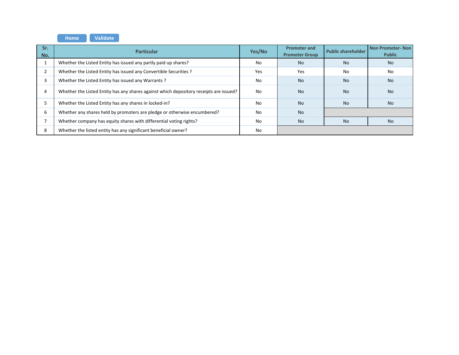**HomeValidate**

| Sr.<br>No. | <b>Particular</b>                                                                      | Yes/No | <b>Promoter and</b><br><b>Promoter Group</b> | <b>Public shareholder</b> | Non Promoter-Non<br><b>Public</b> |
|------------|----------------------------------------------------------------------------------------|--------|----------------------------------------------|---------------------------|-----------------------------------|
|            | Whether the Listed Entity has issued any partly paid up shares?                        | No     | <b>No</b>                                    | <b>No</b>                 | <b>No</b>                         |
|            | Whether the Listed Entity has issued any Convertible Securities ?                      | Yes    | Yes                                          | No                        | No                                |
|            | Whether the Listed Entity has issued any Warrants?                                     | No     | <b>No</b>                                    | <b>No</b>                 | <b>No</b>                         |
|            | Whether the Listed Entity has any shares against which depository receipts are issued? | No     | <b>No</b>                                    | <b>No</b>                 | <b>No</b>                         |
|            | Whether the Listed Entity has any shares in locked-in?                                 | No     | <b>No</b>                                    | <b>No</b>                 | <b>No</b>                         |
|            | Whether any shares held by promoters are pledge or otherwise encumbered?               | No     | <b>No</b>                                    |                           |                                   |
|            | Whether company has equity shares with differential voting rights?                     | No     | <b>No</b>                                    | <b>No</b>                 | No.                               |
|            | Whether the listed entity has any significant beneficial owner?                        | No     |                                              |                           |                                   |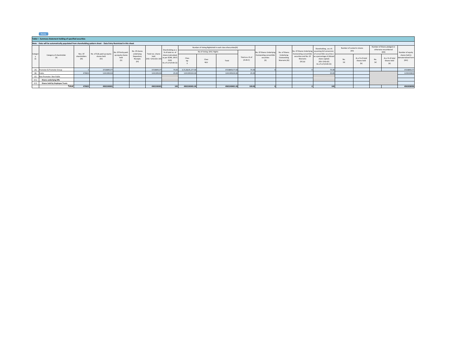|         | Home                                                                                                             |                       |                                                    |                                 |                                              |                                                     |                                                                                               |                           |                                                             |               |                              |                                              |                                            |                                                   |                                                                                                                                                                       |                            |                                       |                                                     |                                |                                                |
|---------|------------------------------------------------------------------------------------------------------------------|-----------------------|----------------------------------------------------|---------------------------------|----------------------------------------------|-----------------------------------------------------|-----------------------------------------------------------------------------------------------|---------------------------|-------------------------------------------------------------|---------------|------------------------------|----------------------------------------------|--------------------------------------------|---------------------------------------------------|-----------------------------------------------------------------------------------------------------------------------------------------------------------------------|----------------------------|---------------------------------------|-----------------------------------------------------|--------------------------------|------------------------------------------------|
|         | Table I - Summary Statement holding of specified securities                                                      |                       |                                                    |                                 |                                              |                                                     |                                                                                               |                           |                                                             |               |                              |                                              |                                            |                                                   |                                                                                                                                                                       |                            |                                       |                                                     |                                |                                                |
|         | Note: Data will be automatically populated from shareholding pattern sheet - Data Entry Restricted in this sheet |                       |                                                    |                                 |                                              |                                                     |                                                                                               |                           |                                                             |               |                              |                                              |                                            |                                                   |                                                                                                                                                                       |                            |                                       |                                                     |                                |                                                |
|         |                                                                                                                  |                       |                                                    |                                 |                                              |                                                     | Shareholding as a                                                                             |                           | Number of Voting Rightsheld in each class of securities(IX) |               |                              |                                              |                                            |                                                   | Shareholding, as a %                                                                                                                                                  | Number of Locked in shares |                                       | Number of Shares pledged or<br>otherwise encumbered |                                |                                                |
|         |                                                                                                                  | Nos. Of               | No. of fully paid up equity<br>shares held<br>(IV) | No. Of Partly paid-             | No. Of shares                                |                                                     | % of total no, of<br>shares (calculated<br>as per SCRR, 1957)<br>(VIII)<br>As a % of (A+B+C2) | No of Voting (XIV) Rights |                                                             |               |                              | No. Of Shares Underlying                     | No. of Shares                              | No. Of Shares Underlying assuming full conversion |                                                                                                                                                                       | (XII)                      |                                       |                                                     | (XIII)<br>Number of equity     |                                                |
| Categor | Category of shareholder<br>(11)                                                                                  | shareholders<br>(III) |                                                    | up equity shares<br>held<br>(V) | underlying<br>Depository<br>Receipts<br>(VI) | Total nos. shares<br>held<br>$(VII) = (IV)+(V)+(V)$ |                                                                                               | Class<br>eg:              | Class<br>eg:y                                               | Total         | Total as a % of<br>$(A+B+C)$ | Outstanding convertible<br>securities<br>(X) | Underlying<br>Outstanding<br>Warrants (Xi) | Warrants<br>$(Xi)$ $(a)$                          | Outstanding convertible of convertible securities (<br>securities and No. Of as a percentage of diluted<br>share capital)<br>$[X1] = [V11]+[X]$<br>As a % of (A+B+C2) | No.<br>(a)                 | As a % of total<br>Shares held<br>(b) | No.<br>(a)                                          | As a % of total<br>Shares held | shares held in<br>dematerialized form<br>(XIV) |
|         | (A) Promoter & Promoter Group                                                                                    |                       | 3723845177                                         |                                 |                                              | 372384517                                           | 75.00                                                                                         | 3,72,38,45,177.00         |                                                             | 3723845177.00 | 75.00                        |                                              |                                            |                                                   | 75.00                                                                                                                                                                 |                            |                                       |                                                     |                                | 3723845177                                     |
|         | (B) Public                                                                                                       | 479653                | 1241395224                                         |                                 |                                              | 1241395224                                          | 25.00                                                                                         | 1241395224.00             |                                                             | 1241395224.00 | 25.00                        |                                              |                                            |                                                   | 25.00                                                                                                                                                                 |                            |                                       |                                                     |                                | 1239193819                                     |
|         | (C) Non Promoter- Non Public                                                                                     |                       |                                                    |                                 |                                              |                                                     |                                                                                               |                           |                                                             |               |                              |                                              |                                            |                                                   |                                                                                                                                                                       |                            |                                       |                                                     |                                |                                                |
| (C1)    | <b>Shares underlying DRs</b>                                                                                     |                       |                                                    |                                 |                                              |                                                     |                                                                                               |                           |                                                             |               |                              |                                              |                                            |                                                   |                                                                                                                                                                       |                            |                                       |                                                     |                                |                                                |
| (C2)    | Shares held by Employee Trusts                                                                                   |                       |                                                    |                                 |                                              |                                                     |                                                                                               |                           |                                                             |               |                              |                                              |                                            |                                                   |                                                                                                                                                                       |                            |                                       |                                                     |                                |                                                |
|         | Total                                                                                                            | 479655                | 4965240401                                         |                                 |                                              | 4965240401                                          | 100                                                                                           | 4965240401.00             |                                                             | 4965240401.00 | 100,00                       |                                              |                                            |                                                   | 100                                                                                                                                                                   |                            |                                       |                                                     |                                | 4963038996                                     |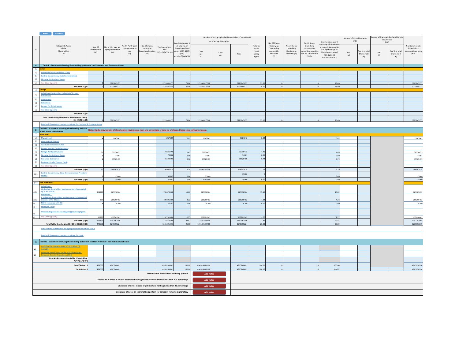|                                   | Validate                                                                                                                                                                                                                                                                                    |              |                      |                     |                     |                                             |                     |                           |                                                              |            |          |               |               |                     |                                              |                            |                |                                       |                 |                     |
|-----------------------------------|---------------------------------------------------------------------------------------------------------------------------------------------------------------------------------------------------------------------------------------------------------------------------------------------|--------------|----------------------|---------------------|---------------------|---------------------------------------------|---------------------|---------------------------|--------------------------------------------------------------|------------|----------|---------------|---------------|---------------------|----------------------------------------------|----------------------------|----------------|---------------------------------------|-----------------|---------------------|
|                                   |                                                                                                                                                                                                                                                                                             |              |                      |                     |                     |                                             |                     |                           | Number of Voting Rights held in each class of securities(IX) |            |          |               |               |                     |                                              | Number of Locked in shares |                | Number of Shares pledged or otherwise |                 |                     |
|                                   |                                                                                                                                                                                                                                                                                             |              |                      |                     |                     |                                             |                     |                           | No of Voting (XIV) Rights                                    |            |          |               |               |                     |                                              | (XII)                      |                | encumbered                            |                 |                     |
|                                   |                                                                                                                                                                                                                                                                                             |              |                      |                     |                     |                                             | Shareholding as a % |                           |                                                              |            |          | No. Of Shares |               | No. Of Shares       | Shareholding, as a %<br>uming full conversio |                            |                | (XIII)                                |                 |                     |
|                                   | Category & Name                                                                                                                                                                                                                                                                             | Nos. Of      | No. of fully paid up | No. Of Partly paid- | No. Of shares       | Total nos. shares                           | of total no, of     |                           |                                                              |            | Total as | Underlying    | No. of Shares | Underlying          | of convertible securitie                     |                            |                |                                       |                 | Number of equity    |
| Sr.                               | of the                                                                                                                                                                                                                                                                                      | shareholders | equity shares held   | up equity shares    | underlying          | held                                        | shares (calculated  |                           |                                                              |            | a % of   | Outstanding   | Underlying    | Outstanding         | (as a percentage of                          |                            |                |                                       |                 | shares held in      |
|                                   | Shareholders                                                                                                                                                                                                                                                                                | (III)        | $(\mathrm{IV})$      | held                | Depository Receipt: | $(VII) = (IV)+(V)+(VI)$                     | as per SCRR, 1957)  | Class                     | Class                                                        |            | Total    | convertible   | Outstanding   | onvertible securiti | diluted share capital)                       | No.                        | As a % of tota | No.                                   | As a % of total | dematerialized forn |
|                                   | (1)                                                                                                                                                                                                                                                                                         |              |                      | (V)                 | (VI)                |                                             | (VIII)              | $\rm eg:$                 | eg:y                                                         | Total      | Voting   | securities    | Warrants (Xi) | and No. Of Warrants | $(XI) = (VII)+(X)$                           | (a)                        | Shares held    | (a)                                   | Shares held     | (XIV)               |
|                                   |                                                                                                                                                                                                                                                                                             |              |                      |                     |                     |                                             | As a % of (A+B+C2)  | $\boldsymbol{\mathsf{x}}$ |                                                              |            | rights   | (X)           |               | $(Xi)$ (a)          | As a % of (A+B+C2)                           |                            | (b)            |                                       | (b)             |                     |
|                                   |                                                                                                                                                                                                                                                                                             |              |                      |                     |                     |                                             |                     |                           |                                                              |            |          |               |               |                     |                                              |                            |                |                                       |                 |                     |
|                                   | A Table II - Statement showing shareholding pattern of the Promoter and Promoter Group                                                                                                                                                                                                      |              |                      |                     |                     |                                             |                     |                           |                                                              |            |          |               |               |                     |                                              |                            |                |                                       |                 |                     |
|                                   |                                                                                                                                                                                                                                                                                             |              |                      |                     |                     |                                             |                     |                           |                                                              |            |          |               |               |                     |                                              |                            |                |                                       |                 |                     |
| (1) Indian                        |                                                                                                                                                                                                                                                                                             |              |                      |                     |                     |                                             |                     |                           |                                                              |            |          |               |               |                     |                                              |                            |                |                                       |                 |                     |
| (a)                               | Individuals/Hindu undivided Family                                                                                                                                                                                                                                                          |              |                      |                     |                     |                                             |                     |                           |                                                              |            |          |               |               |                     |                                              |                            |                |                                       |                 |                     |
| (b)                               | Central Government/ State Government(s)                                                                                                                                                                                                                                                     |              |                      |                     |                     |                                             |                     |                           |                                                              |            |          |               |               |                     |                                              |                            |                |                                       |                 |                     |
| (c)                               | <b>Financial Institutions/Banks</b>                                                                                                                                                                                                                                                         |              |                      |                     |                     |                                             |                     |                           |                                                              |            |          |               |               |                     |                                              |                            |                |                                       |                 |                     |
|                                   | (d) Any Other (specify)                                                                                                                                                                                                                                                                     |              | 3723845177           |                     |                     | 3723845177                                  | 75.00               | 3723845177.00             |                                                              | 3723845177 | 75.00    |               |               |                     | 75.00                                        |                            |                |                                       |                 | 372384517           |
|                                   | Sub-Total (A)(1)                                                                                                                                                                                                                                                                            |              | 3723845177           |                     |                     | 3723845177                                  | 75.00               | 3723845177.00             |                                                              | 3723845177 | 75.00    |               |               |                     | 75.00                                        |                            |                |                                       |                 | 372384517           |
|                                   | (2) <mark>Foreign</mark>                                                                                                                                                                                                                                                                    |              |                      |                     |                     |                                             |                     |                           |                                                              |            |          |               |               |                     |                                              |                            |                |                                       |                 |                     |
| (a)                               | Individuals (NonResident Individuals/ Foreign                                                                                                                                                                                                                                               |              |                      |                     |                     |                                             |                     |                           |                                                              |            |          |               |               |                     |                                              |                            |                |                                       |                 |                     |
|                                   | Individuals)                                                                                                                                                                                                                                                                                |              |                      |                     |                     |                                             |                     |                           |                                                              |            |          |               |               |                     |                                              |                            |                |                                       |                 |                     |
| (b)                               | Government                                                                                                                                                                                                                                                                                  |              |                      |                     |                     |                                             |                     |                           |                                                              |            |          |               |               |                     |                                              |                            |                |                                       |                 |                     |
| (c)                               | Institutions                                                                                                                                                                                                                                                                                |              |                      |                     |                     |                                             |                     |                           |                                                              |            |          |               |               |                     |                                              |                            |                |                                       |                 |                     |
|                                   | (d) Foreign Portfolio Investor                                                                                                                                                                                                                                                              |              |                      |                     |                     |                                             |                     |                           |                                                              |            |          |               |               |                     |                                              |                            |                |                                       |                 |                     |
|                                   | (e) Any Other (specify)                                                                                                                                                                                                                                                                     |              |                      |                     |                     |                                             |                     |                           |                                                              |            |          |               |               |                     |                                              |                            |                |                                       |                 |                     |
|                                   | Sub-Total (A)(2)                                                                                                                                                                                                                                                                            |              |                      |                     |                     |                                             |                     |                           |                                                              |            |          |               |               |                     |                                              |                            |                |                                       |                 |                     |
|                                   |                                                                                                                                                                                                                                                                                             |              |                      |                     |                     |                                             |                     |                           |                                                              |            |          |               |               |                     |                                              |                            |                |                                       |                 |                     |
|                                   | <b>Total Shareholding of Promoter and Promoter Group</b><br>$(A)=(A)(1)+(A)(2)$                                                                                                                                                                                                             |              | 3723845177           |                     |                     | 3723845177                                  | 75.00               | 3723845177.00             |                                                              | 3723845177 | 75.00    |               |               |                     | 75.00                                        |                            |                |                                       |                 | 3723845177          |
|                                   |                                                                                                                                                                                                                                                                                             |              |                      |                     |                     |                                             |                     |                           |                                                              |            |          |               |               |                     |                                              |                            |                |                                       |                 |                     |
|                                   | Details of Shares which remain unclaimed for Promoter & Promoter Group                                                                                                                                                                                                                      |              |                      |                     |                     |                                             |                     |                           |                                                              |            |          |               |               |                     |                                              |                            |                |                                       |                 |                     |
|                                   | Table III - Statement showing shareholding pattern<br>And The Statement showing shareholding pattern<br>And The Statement Motel - Statement Motel - Kindly show details of shareholders having more than one percentage of total no<br>Table III - Sta<br>of the Public<br>(1) Institutions |              |                      |                     |                     |                                             |                     |                           |                                                              |            |          |               |               |                     |                                              |                            |                |                                       |                 |                     |
|                                   |                                                                                                                                                                                                                                                                                             |              |                      |                     |                     |                                             |                     |                           |                                                              |            |          |               |               |                     |                                              |                            |                |                                       |                 |                     |
|                                   |                                                                                                                                                                                                                                                                                             |              |                      |                     |                     |                                             |                     |                           |                                                              |            |          |               |               |                     |                                              |                            |                |                                       |                 |                     |
|                                   | (a) Mutual Funds                                                                                                                                                                                                                                                                            |              | 1067842              |                     |                     | 1067842                                     | 0.02                | 1067842                   |                                                              | 1067842    | 0.02     |               |               |                     | 0.02                                         |                            |                |                                       |                 | 1067842             |
|                                   | (b) Venture Capital Funds                                                                                                                                                                                                                                                                   |              |                      |                     |                     |                                             |                     |                           |                                                              |            |          |               |               |                     |                                              |                            |                |                                       |                 |                     |
| (c)                               | Alternate Investment Funds                                                                                                                                                                                                                                                                  |              |                      |                     |                     |                                             |                     |                           |                                                              |            |          |               |               |                     |                                              |                            |                |                                       |                 |                     |
|                                   | (d) Foreign Venture Capital Investors                                                                                                                                                                                                                                                       |              |                      |                     |                     |                                             |                     |                           |                                                              |            |          |               |               |                     |                                              |                            |                |                                       |                 |                     |
|                                   | (e) Foreign Portfolio Investors                                                                                                                                                                                                                                                             | 53           | 7223647              |                     |                     | 72236473                                    | 1.45                | 7223647                   |                                                              | 72236473   | 1.45     |               |               |                     | 1.45                                         |                            |                |                                       |                 | 7023647             |
| (f)                               | Financial Institutions/Banks                                                                                                                                                                                                                                                                |              | 74001                |                     |                     | 74001                                       | 0.00                | 74001                     |                                                              | 74001      | 0.00     |               |               |                     | 0.00                                         |                            |                |                                       |                 | 7400                |
|                                   | (g) Insurance Companies                                                                                                                                                                                                                                                                     |              | 35529499             |                     |                     | 35529499                                    | 0.72                | 35529499                  |                                                              | 35529499   | 0.72     |               |               |                     | 0.72                                         |                            |                |                                       |                 | 35529499            |
|                                   | (h) Provident Funds/ Pension Funds                                                                                                                                                                                                                                                          |              |                      |                     |                     |                                             |                     |                           |                                                              |            |          |               |               |                     |                                              |                            |                |                                       |                 |                     |
|                                   | (i) Any Other (specify)                                                                                                                                                                                                                                                                     |              |                      |                     |                     |                                             |                     |                           |                                                              |            |          |               |               |                     |                                              |                            |                |                                       |                 |                     |
|                                   | Sub-Total (B)(1)                                                                                                                                                                                                                                                                            | 60           | 10890781             |                     |                     | 108907815                                   | 2.19                | 108907815.00              |                                                              | 108907815  | 2.19     |               |               |                     | 2.19                                         |                            |                |                                       |                 | 10690781            |
|                                   | Central Government/ State Government(s)/ President                                                                                                                                                                                                                                          |              |                      |                     |                     |                                             |                     |                           |                                                              |            |          |               |               |                     |                                              |                            |                |                                       |                 |                     |
| (2)                               | of India                                                                                                                                                                                                                                                                                    |              | 35000                |                     |                     | 35000                                       | 0.00                | 35000                     |                                                              | 35000      |          |               |               |                     | 0.00                                         |                            |                |                                       |                 | 35000               |
|                                   | Sub-Total (B)(2)                                                                                                                                                                                                                                                                            |              | 35000                |                     |                     | 35000                                       | 0.00                | 35000.00                  |                                                              | 35000      | 0.00     |               |               |                     | 0.00                                         |                            |                |                                       |                 | 35000               |
|                                   | (3) Non-institutions                                                                                                                                                                                                                                                                        |              |                      |                     |                     |                                             |                     |                           |                                                              |            |          |               |               |                     |                                              |                            |                |                                       |                 |                     |
|                                   |                                                                                                                                                                                                                                                                                             |              |                      |                     |                     |                                             |                     |                           |                                                              |            |          |               |               |                     |                                              |                            |                |                                       |                 |                     |
|                                   | Individuals -<br>i.Individual shareholders holding nominal share capital                                                                                                                                                                                                                    |              |                      |                     |                     |                                             |                     |                           |                                                              |            |          |               |               |                     |                                              |                            |                |                                       |                 |                     |
| (a(i))                            | up to Rs. 2 lakhs.                                                                                                                                                                                                                                                                          | 468225       | 785378964            |                     |                     | 785378964                                   | 15.82               | 785378964                 |                                                              | 785378964  | 15.82    |               |               |                     | 15.82                                        |                            |                |                                       |                 | 785185059           |
|                                   | Individuals -                                                                                                                                                                                                                                                                               |              |                      |                     |                     |                                             |                     |                           |                                                              |            |          |               |               |                     |                                              |                            |                |                                       |                 |                     |
|                                   | ii. Individual shareholders holding nominal share capital                                                                                                                                                                                                                                   |              |                      |                     |                     |                                             |                     |                           |                                                              |            |          |               |               |                     |                                              |                            |                |                                       |                 |                     |
| (a(ii))                           | in excess of Rs. 2 lakhs.                                                                                                                                                                                                                                                                   | 37           | 209295402            |                     |                     | 209295402                                   | 4.22                | 209295402                 |                                                              | 209295402  | 4.22     |               |               |                     | 4.22                                         |                            |                |                                       |                 | 209295402           |
| $\begin{pmatrix} b \end{pmatrix}$ | NBFCs registered with RBI                                                                                                                                                                                                                                                                   |              | 7610                 |                     |                     | 76100                                       | 0.00                | 76100                     |                                                              | 76100      | 0.00     |               |               |                     | 0.00                                         |                            |                |                                       |                 | 76100               |
|                                   | <b>Employee Trusts</b>                                                                                                                                                                                                                                                                      |              |                      |                     |                     |                                             |                     |                           |                                                              |            |          |               |               |                     |                                              |                            |                |                                       |                 |                     |
|                                   | Overseas Depositories (holding DRs) (balancing figure)                                                                                                                                                                                                                                      |              |                      |                     |                     |                                             |                     |                           |                                                              |            |          |               |               |                     |                                              |                            |                |                                       |                 |                     |
| $\frac{d}{e}$                     |                                                                                                                                                                                                                                                                                             |              |                      |                     |                     |                                             |                     |                           |                                                              |            |          |               |               |                     |                                              |                            |                |                                       |                 |                     |
|                                   | Any Other (specify)                                                                                                                                                                                                                                                                         | 10985        | 137701943            |                     |                     | 137701943                                   | 277                 | 13770194                  |                                                              | 137701943  | 2.77     |               |               |                     | 2.77                                         |                            |                |                                       |                 | 13769444            |
|                                   | Sub-Total (B)(3)                                                                                                                                                                                                                                                                            | 479591       | 1132452409           |                     |                     | 1132452409                                  | 22.81               | 1132452409.00             |                                                              | 1132452409 | 22.81    |               |               |                     | 22.81                                        |                            |                |                                       |                 | 113225100           |
|                                   | Total Public Shareholding (B)=(B)(1)+(B)(2)+(B)(3)                                                                                                                                                                                                                                          | 479653       | 1241395224           |                     |                     | 1241395224                                  | 25.00               | 1241395224.00             |                                                              | 1241395224 | 25.00    |               |               |                     | 25.00                                        |                            |                |                                       |                 | 123919381           |
|                                   | Details of the shareholders acting as persons in Concert for Public                                                                                                                                                                                                                         |              |                      |                     |                     |                                             |                     |                           |                                                              |            |          |               |               |                     |                                              |                            |                |                                       |                 |                     |
|                                   |                                                                                                                                                                                                                                                                                             |              |                      |                     |                     |                                             |                     |                           |                                                              |            |          |               |               |                     |                                              |                            |                |                                       |                 |                     |
|                                   | Details of Shares which remain unclaimed for Public                                                                                                                                                                                                                                         |              |                      |                     |                     |                                             |                     |                           |                                                              |            |          |               |               |                     |                                              |                            |                |                                       |                 |                     |
|                                   |                                                                                                                                                                                                                                                                                             |              |                      |                     |                     |                                             |                     |                           |                                                              |            |          |               |               |                     |                                              |                            |                |                                       |                 |                     |
|                                   | C Table IV - Statement showing shareholding pattern of the Non Promoter- Non Public shareholder                                                                                                                                                                                             |              |                      |                     |                     |                                             |                     |                           |                                                              |            |          |               |               |                     |                                              |                            |                |                                       |                 |                     |
|                                   |                                                                                                                                                                                                                                                                                             |              |                      |                     |                     |                                             |                     |                           |                                                              |            |          |               |               |                     |                                              |                            |                |                                       |                 |                     |
|                                   | Custodian/DR_Holder - Name of DR Holders (If<br>Available)                                                                                                                                                                                                                                  |              |                      |                     |                     |                                             |                     |                           |                                                              |            |          |               |               |                     |                                              |                            |                |                                       |                 |                     |
| (1)                               | <b>Employee Benefit Trust (under SEBI (Share based)</b>                                                                                                                                                                                                                                     |              |                      |                     |                     |                                             |                     |                           |                                                              |            |          |               |               |                     |                                              |                            |                |                                       |                 |                     |
| (2)                               | <b>Employee Benefit) Regulations, 2014)</b>                                                                                                                                                                                                                                                 |              |                      |                     |                     |                                             |                     |                           |                                                              |            |          |               |               |                     |                                              |                            |                |                                       |                 |                     |
|                                   | <b>Total NonPromoter- Non Public Shareholding</b>                                                                                                                                                                                                                                           |              |                      |                     |                     |                                             |                     |                           |                                                              |            |          |               |               |                     |                                              |                            |                |                                       |                 |                     |
|                                   | $(C) = (C)(1)+(C)(2)$                                                                                                                                                                                                                                                                       |              |                      |                     |                     |                                             |                     |                           |                                                              |            |          |               |               |                     |                                              |                            |                |                                       |                 |                     |
|                                   | Total (A+B+C2                                                                                                                                                                                                                                                                               | 479655       | 4965240403           |                     |                     | 4965240401                                  | 100.00              | 4965240401.00             |                                                              | 4965240401 | 100.00   |               |               |                     | 100.00                                       |                            |                |                                       |                 | 496303899           |
|                                   | Total (A+B+C                                                                                                                                                                                                                                                                                |              |                      |                     |                     |                                             |                     | 4965240401.00             |                                                              |            | 100.00   |               |               |                     | 100.00                                       |                            |                |                                       |                 | 496303899           |
|                                   |                                                                                                                                                                                                                                                                                             | 479655       | 496524040            |                     |                     | 4965240401                                  | 100.00              |                           |                                                              | 4965240401 |          |               |               |                     |                                              |                            |                |                                       |                 |                     |
|                                   |                                                                                                                                                                                                                                                                                             |              |                      |                     |                     | Disclosure of notes on shareholding pattern |                     | <b>Add Notes</b>          |                                                              |            |          |               |               |                     |                                              |                            |                |                                       |                 |                     |
|                                   |                                                                                                                                                                                                                                                                                             |              |                      |                     |                     |                                             |                     |                           |                                                              |            |          |               |               |                     |                                              |                            |                |                                       |                 |                     |
|                                   | Disclosure of notes in case of promoter holiding in dematerialsed form is less than 100 percentage                                                                                                                                                                                          |              |                      |                     |                     |                                             |                     | <b>Add Notes</b>          |                                                              |            |          |               |               |                     |                                              |                            |                |                                       |                 |                     |
|                                   | Disclosure of notes in case of public share holding is less than 25 percentage                                                                                                                                                                                                              |              |                      |                     |                     |                                             |                     |                           | <b>Add Notes</b>                                             |            |          |               |               |                     |                                              |                            |                |                                       |                 |                     |
|                                   |                                                                                                                                                                                                                                                                                             |              |                      |                     |                     |                                             |                     |                           |                                                              |            |          |               |               |                     |                                              |                            |                |                                       |                 |                     |
|                                   |                                                                                                                                                                                                                                                                                             |              |                      |                     |                     |                                             |                     | <b>Add Notes</b>          |                                                              |            |          |               |               |                     |                                              |                            |                |                                       |                 |                     |
|                                   | Disclosure of notes on shareholding pattern for company remarks explanatory                                                                                                                                                                                                                 |              |                      |                     |                     |                                             |                     |                           |                                                              |            |          |               |               |                     |                                              |                            |                |                                       |                 |                     |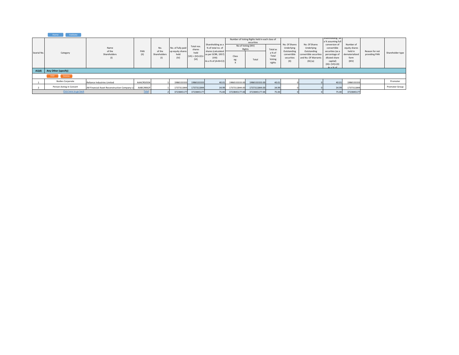|             | Validate<br>Home         |                                              |             |                               |                                                       |                                                             |                                                                                                                    |                                                                                                                                                                         |               |                                                           |  |  |       |            |  |                |  |                                                                                                           |                                                                                                                                                                                                      |                                                                          |                                 |                  |
|-------------|--------------------------|----------------------------------------------|-------------|-------------------------------|-------------------------------------------------------|-------------------------------------------------------------|--------------------------------------------------------------------------------------------------------------------|-------------------------------------------------------------------------------------------------------------------------------------------------------------------------|---------------|-----------------------------------------------------------|--|--|-------|------------|--|----------------|--|-----------------------------------------------------------------------------------------------------------|------------------------------------------------------------------------------------------------------------------------------------------------------------------------------------------------------|--------------------------------------------------------------------------|---------------------------------|------------------|
| Searial No. | Category                 | Name<br>of the<br>Shareholders<br>(1)        | PAN<br>(II) | No.<br>of the<br>Shareholders | No. of fully paid<br>up equity shares<br>held<br>(IV) | Total nos.<br>shares<br>held<br>$(VII) = (IV)+(V)+$<br>(VI) | Shareholding as a<br>% of total no, of<br>shares (calculated<br>as per SCRR, 1957)<br>(VIII)<br>As a % of (A+B+C2) | Number of Voting Rights held in each class of<br>securities<br>No of Voting (XIV)<br>Rights<br>Total as<br>a % of<br>Total<br>Class<br>Voting<br>Total<br>eg:<br>rights |               | No. Of Shares<br>Underlying<br>Outstanding<br>convertible |  |  |       |            |  |                |  | No. Of Shares<br>Underlying<br>Outstanding<br>convertible securities<br>and No. Of Warrants<br>$(Xi)$ (a) | snarenoiding, as<br>a % assuming full<br>conversion of<br>convertible<br>securities (as a<br>percentage of<br>diluted share<br>capital)<br>$(XI) = (VII)+(X)$<br>$Ac \nightharpoonup \mathcal{H}$ of | Number of<br>equity shares<br>held in<br>dematerialized<br>form<br>(XIV) | Reason for not<br>providing PAN | Shareholder type |
| A1(d)       | Any Other (specify)      |                                              |             |                               |                                                       |                                                             |                                                                                                                    |                                                                                                                                                                         |               |                                                           |  |  |       |            |  |                |  |                                                                                                           |                                                                                                                                                                                                      |                                                                          |                                 |                  |
|             | Add<br>Delete            |                                              |             |                               |                                                       |                                                             |                                                                                                                    |                                                                                                                                                                         |               |                                                           |  |  |       |            |  |                |  |                                                                                                           |                                                                                                                                                                                                      |                                                                          |                                 |                  |
|             | <b>Bodies Corporate</b>  | Reliance Industries Limited                  | AAACR5055K  |                               | 1986533333                                            | 1986533333                                                  | 40.01                                                                                                              | 1986533333.00                                                                                                                                                           | 1986533333.00 | 40.01                                                     |  |  | 40.01 | 1986533333 |  | Promoter       |  |                                                                                                           |                                                                                                                                                                                                      |                                                                          |                                 |                  |
|             | Person Acting in Concert | JM Financial Asset Reconstruction Company Li | AABCJ9062F  |                               | 1737311844                                            | 1737311844                                                  | 34.99                                                                                                              | 1737311844.00                                                                                                                                                           | 1737311844.00 | 34.99                                                     |  |  | 34.99 | 1737311844 |  | Promoter Group |  |                                                                                                           |                                                                                                                                                                                                      |                                                                          |                                 |                  |
|             | Click here to go back    |                                              | Total       |                               | 3723845177                                            | 3723845177                                                  | 75.00                                                                                                              | 3723845177.00                                                                                                                                                           | 3723845177.00 | 75.00                                                     |  |  | 75.00 | 3723845177 |  |                |  |                                                                                                           |                                                                                                                                                                                                      |                                                                          |                                 |                  |